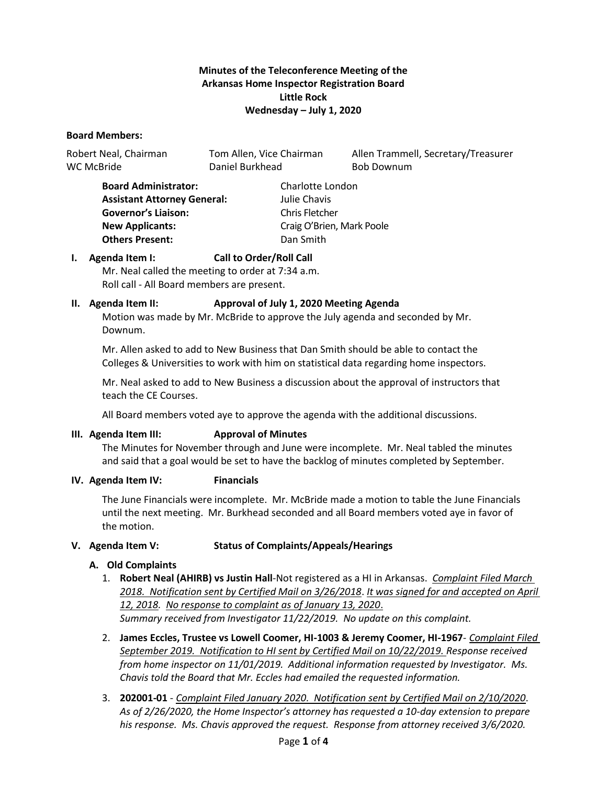### **Minutes of the Teleconference Meeting of the Arkansas Home Inspector Registration Board Little Rock Wednesday – July 1, 2020**

### **Board Members:**

WC McBride **Daniel Burkhead** Bob Downum

Robert Neal, Chairman Tom Allen, Vice Chairman Allen Trammell, Secretary/Treasurer

**Board Administrator:** Charlotte London **Assistant Attorney General:** Julie Chavis **Governor's Liaison:** Chris Fletcher **New Applicants:** Craig O'Brien, Mark Poole **Others Present:** Dan Smith

### **I. Agenda Item I: Call to Order/Roll Call**

Mr. Neal called the meeting to order at 7:34 a.m. Roll call - All Board members are present.

### **II. Agenda Item II: Approval of July 1, 2020 Meeting Agenda**

Motion was made by Mr. McBride to approve the July agenda and seconded by Mr. Downum.

Mr. Allen asked to add to New Business that Dan Smith should be able to contact the Colleges & Universities to work with him on statistical data regarding home inspectors.

Mr. Neal asked to add to New Business a discussion about the approval of instructors that teach the CE Courses.

All Board members voted aye to approve the agenda with the additional discussions.

### **III. Agenda Item III: Approval of Minutes**

The Minutes for November through and June were incomplete. Mr. Neal tabled the minutes and said that a goal would be set to have the backlog of minutes completed by September.

### **IV. Agenda Item IV: Financials**

The June Financials were incomplete. Mr. McBride made a motion to table the June Financials until the next meeting. Mr. Burkhead seconded and all Board members voted aye in favor of the motion.

### **V. Agenda Item V: Status of Complaints/Appeals/Hearings**

### **A. Old Complaints**

- 1. **Robert Neal (AHIRB) vs Justin Hall**-Not registered as a HI in Arkansas. *Complaint Filed March 2018. Notification sent by Certified Mail on 3/26/2018*. *It was signed for and accepted on April 12, 2018. No response to complaint as of January 13, 2020*. *Summary received from Investigator 11/22/2019. No update on this complaint.*
- 2. **James Eccles, Trustee vs Lowell Coomer, HI-1003 & Jeremy Coomer, HI-1967** *Complaint Filed September 2019. Notification to HI sent by Certified Mail on 10/22/2019. Response received from home inspector on 11/01/2019. Additional information requested by Investigator. Ms. Chavis told the Board that Mr. Eccles had emailed the requested information.*
- 3. **202001-01** *Complaint Filed January 2020. Notification sent by Certified Mail on 2/10/2020*. *As of 2/26/2020, the Home Inspector's attorney has requested a 10-day extension to prepare his response. Ms. Chavis approved the request. Response from attorney received 3/6/2020.*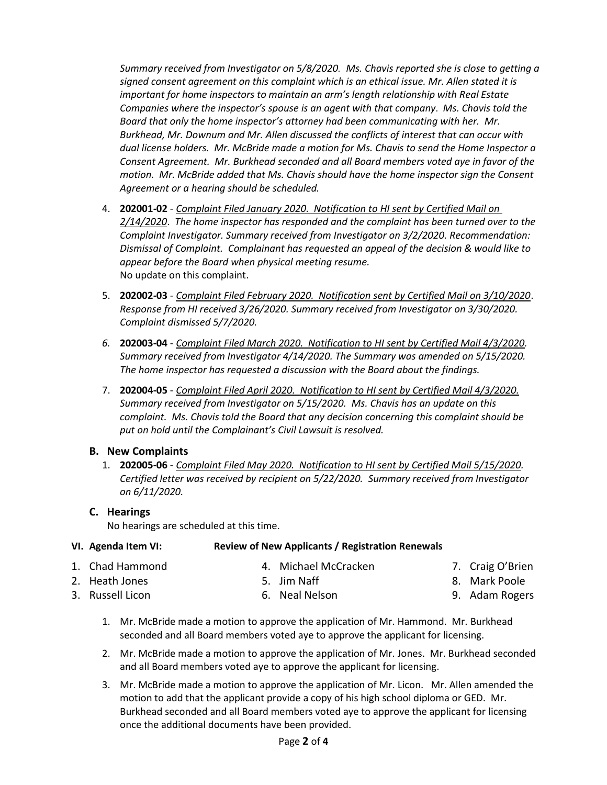*Summary received from Investigator on 5/8/2020.**Ms. Chavis reported she is close to getting a signed consent agreement on this complaint which is an ethical issue. Mr. Allen stated it is important for home inspectors to maintain an arm's length relationship with Real Estate Companies where the inspector's spouse is an agent with that company*. *Ms. Chavis told the Board that only the home inspector's attorney had been communicating with her. Mr. Burkhead, Mr. Downum and Mr. Allen discussed the conflicts of interest that can occur with dual license holders. Mr. McBride made a motion for Ms. Chavis to send the Home Inspector a Consent Agreement. Mr. Burkhead seconded and all Board members voted aye in favor of the motion. Mr. McBride added that Ms. Chavis should have the home inspector sign the Consent Agreement or a hearing should be scheduled.*

- 4. **202001-02** *Complaint Filed January 2020. Notification to HI sent by Certified Mail on 2/14/2020*. *The home inspector has responded and the complaint has been turned over to the Complaint Investigator. Summary received from Investigator on 3/2/2020. Recommendation: Dismissal of Complaint. Complainant has requested an appeal of the decision & would like to appear before the Board when physical meeting resume.* No update on this complaint.
- 5. **202002-03** *Complaint Filed February 2020. Notification sent by Certified Mail on 3/10/2020*. *Response from HI received 3/26/2020. Summary received from Investigator on 3/30/2020. Complaint dismissed 5/7/2020.*
- *6.* **202003-04** *Complaint Filed March 2020. Notification to HI sent by Certified Mail 4/3/2020. Summary received from Investigator 4/14/2020. The Summary was amended on 5/15/2020. The home inspector has requested a discussion with the Board about the findings.*
- 7. **202004-05** *Complaint Filed April 2020. Notification to HI sent by Certified Mail 4/3/2020. Summary received from Investigator on 5/15/2020. Ms. Chavis has an update on this complaint. Ms. Chavis told the Board that any decision concerning this complaint should be put on hold until the Complainant's Civil Lawsuit is resolved.*

# **B. New Complaints**

1. **202005-06** - *Complaint Filed May 2020. Notification to HI sent by Certified Mail 5/15/2020. Certified letter was received by recipient on 5/22/2020. Summary received from Investigator on 6/11/2020.*

# **C. Hearings**

No hearings are scheduled at this time.

# **VI. Agenda Item VI: Review of New Applicants / Registration Renewals**

- 1. Chad Hammond 4. Michael McCracken
- 2. Heath Jones 3. Russell Licon

5. Jim Naff 6. Neal Nelson

- 7. Craig O'Brien
- 8. Mark Poole
- 9. Adam Rogers
- 1. Mr. McBride made a motion to approve the application of Mr. Hammond. Mr. Burkhead seconded and all Board members voted aye to approve the applicant for licensing.
- 2. Mr. McBride made a motion to approve the application of Mr. Jones. Mr. Burkhead seconded and all Board members voted aye to approve the applicant for licensing.
- 3. Mr. McBride made a motion to approve the application of Mr. Licon. Mr. Allen amended the motion to add that the applicant provide a copy of his high school diploma or GED. Mr. Burkhead seconded and all Board members voted aye to approve the applicant for licensing once the additional documents have been provided.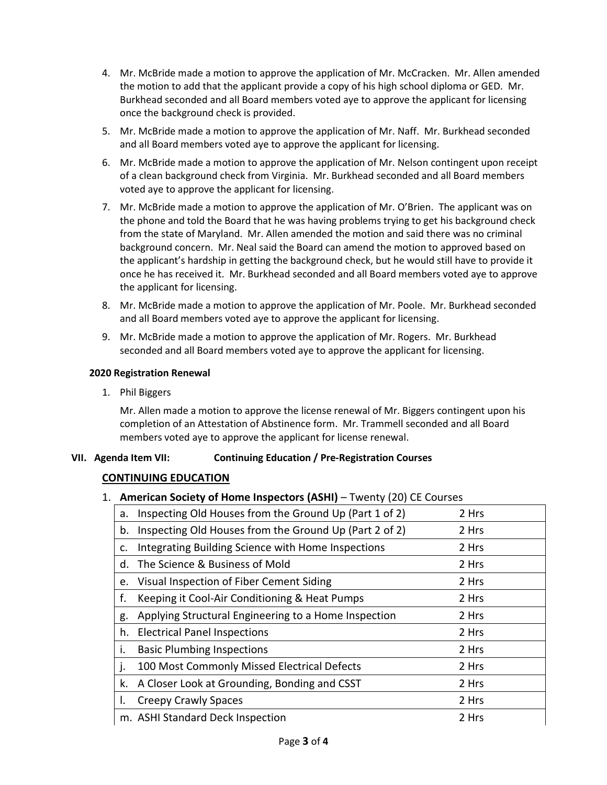- 4. Mr. McBride made a motion to approve the application of Mr. McCracken. Mr. Allen amended the motion to add that the applicant provide a copy of his high school diploma or GED. Mr. Burkhead seconded and all Board members voted aye to approve the applicant for licensing once the background check is provided.
- 5. Mr. McBride made a motion to approve the application of Mr. Naff. Mr. Burkhead seconded and all Board members voted aye to approve the applicant for licensing.
- 6. Mr. McBride made a motion to approve the application of Mr. Nelson contingent upon receipt of a clean background check from Virginia. Mr. Burkhead seconded and all Board members voted aye to approve the applicant for licensing.
- 7. Mr. McBride made a motion to approve the application of Mr. O'Brien. The applicant was on the phone and told the Board that he was having problems trying to get his background check from the state of Maryland. Mr. Allen amended the motion and said there was no criminal background concern. Mr. Neal said the Board can amend the motion to approved based on the applicant's hardship in getting the background check, but he would still have to provide it once he has received it. Mr. Burkhead seconded and all Board members voted aye to approve the applicant for licensing.
- 8. Mr. McBride made a motion to approve the application of Mr. Poole. Mr. Burkhead seconded and all Board members voted aye to approve the applicant for licensing.
- 9. Mr. McBride made a motion to approve the application of Mr. Rogers. Mr. Burkhead seconded and all Board members voted aye to approve the applicant for licensing.

### **2020 Registration Renewal**

1. Phil Biggers

Mr. Allen made a motion to approve the license renewal of Mr. Biggers contingent upon his completion of an Attestation of Abstinence form. Mr. Trammell seconded and all Board members voted aye to approve the applicant for license renewal.

### **VII. Agenda Item VII: Continuing Education / Pre-Registration Courses**

# **CONTINUING EDUCATION**

### 1. **American Society of Home Inspectors (ASHI)** – Twenty (20) CE Courses

| a. | Inspecting Old Houses from the Ground Up (Part 1 of 2) | 2 Hrs |
|----|--------------------------------------------------------|-------|
| b. | Inspecting Old Houses from the Ground Up (Part 2 of 2) | 2 Hrs |
| c. | Integrating Building Science with Home Inspections     | 2 Hrs |
| d. | The Science & Business of Mold                         | 2 Hrs |
| e. | Visual Inspection of Fiber Cement Siding               | 2 Hrs |
| f. | Keeping it Cool-Air Conditioning & Heat Pumps          | 2 Hrs |
| g. | Applying Structural Engineering to a Home Inspection   | 2 Hrs |
| h. | <b>Electrical Panel Inspections</b>                    | 2 Hrs |
| i. | <b>Basic Plumbing Inspections</b>                      | 2 Hrs |
| J. | 100 Most Commonly Missed Electrical Defects            | 2 Hrs |
| k. | A Closer Look at Grounding, Bonding and CSST           | 2 Hrs |
| I. | <b>Creepy Crawly Spaces</b>                            | 2 Hrs |
|    | m. ASHI Standard Deck Inspection                       | 2 Hrs |
|    |                                                        |       |